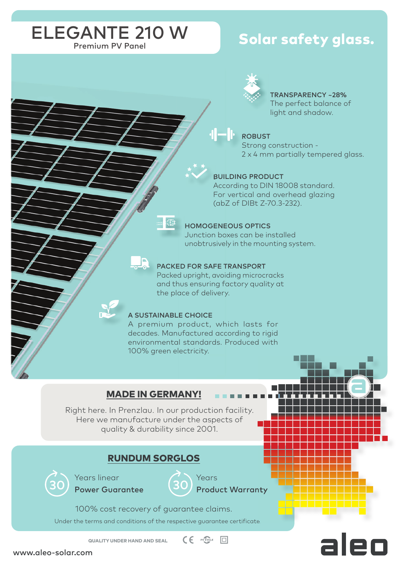# ELEGANTE 210 W

# Solar safety glass.



# TRANSPARENCY ~28%

The perfect balance of light and shadow.

#### ROBUST

Strong construction - 2 x 4 mm partially tempered glass.

#### BUILDING PRODUCT

According to DIN 18008 standard. For vertical and overhead glazing (abZ of DIBt Z-70.3-232).

#### HOMOGENEOUS OPTICS

Junction boxes can be installed unobtrusively in the mounting system.

### PACKED FOR SAFE TRANSPORT

Packed upright, avoiding microcracks and thus ensuring factory quality at the place of delivery.

#### A SUSTAINABLE CHOICE

A premium product, which lasts for decades. Manufactured according to rigid environmental standards. Produced with 100% green electricity.

### MADE IN GERMANY!

Right here. In Prenzlau. In our production facility. Here we manufacture under the aspects of quality & durability since 2001.

## RUNDUM SORGLOS



Years linear Power Guarantee



Product Warranty

Years

100% cost recovery of guarantee claims.

Under the terms and conditions of the respective guarantee certificate.

 $CE$  *evercie*  $\Box$ QUALITY UNDER HAND AND SEAL

www.aleo-solar.com